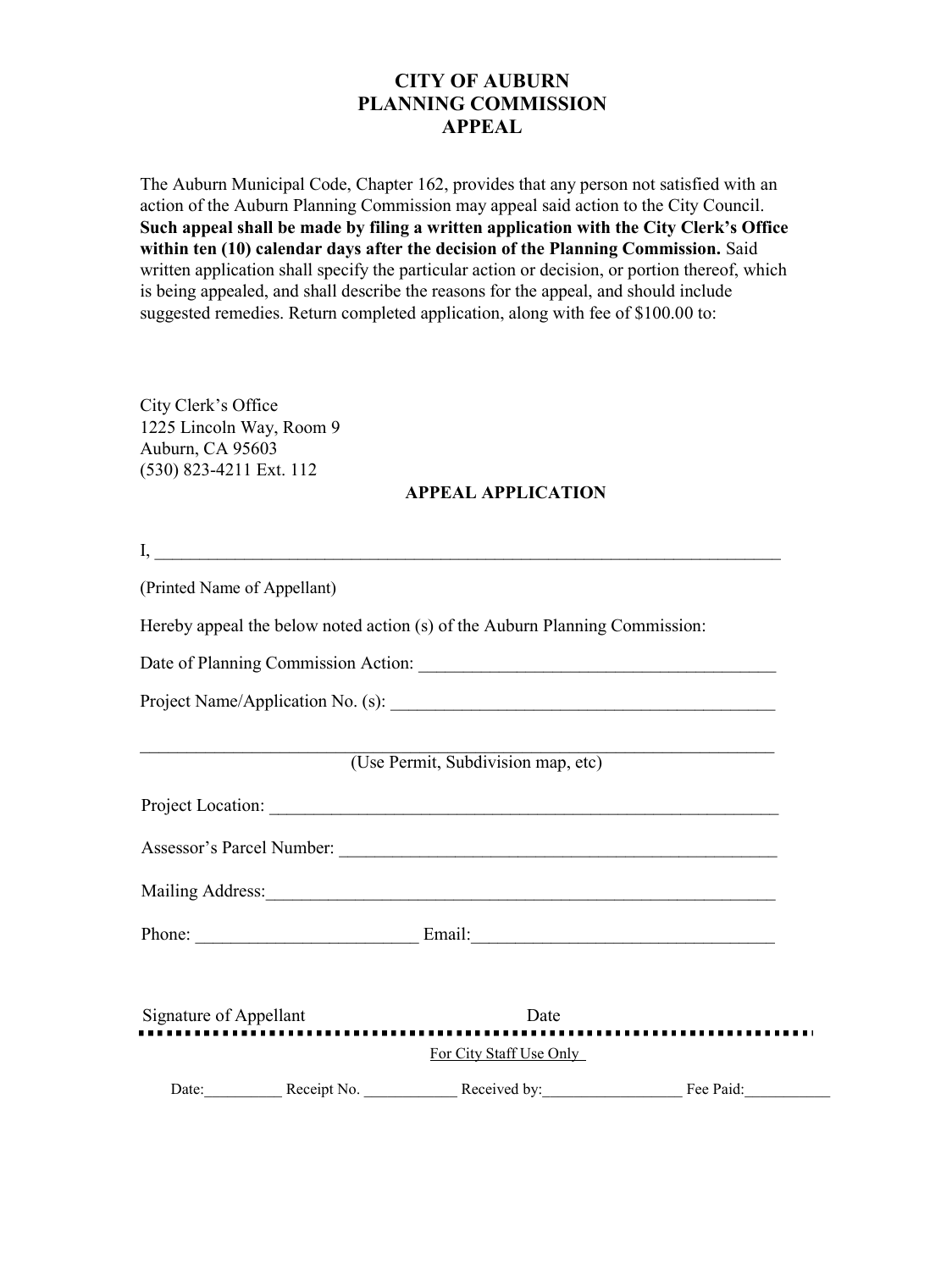## **CITY OF AUBURN PLANNING COMMISSION APPEAL**

The Auburn Municipal Code, Chapter 162, provides that any person not satisfied with an action of the Auburn Planning Commission may appeal said action to the City Council. **Such appeal shall be made by filing a written application with the City Clerk's Office within ten (10) calendar days after the decision of the Planning Commission.** Said written application shall specify the particular action or decision, or portion thereof, which is being appealed, and shall describe the reasons for the appeal, and should include suggested remedies. Return completed application, along with fee of \$100.00 to:

City Clerk's Office 1225 Lincoln Way, Room 9 Auburn, CA 95603 (530) 823-4211 Ext. 112

## **APPEAL APPLICATION**

| (Printed Name of Appellant)                                                                                    |                                                       |  |
|----------------------------------------------------------------------------------------------------------------|-------------------------------------------------------|--|
| Hereby appeal the below noted action (s) of the Auburn Planning Commission:                                    |                                                       |  |
|                                                                                                                |                                                       |  |
|                                                                                                                |                                                       |  |
|                                                                                                                | (Use Permit, Subdivision map, etc)                    |  |
|                                                                                                                |                                                       |  |
|                                                                                                                |                                                       |  |
| Mailing Address: 1988 and 2008 and 2008 and 2008 and 2008 and 2008 and 2008 and 2008 and 2008 and 2008 and 200 |                                                       |  |
|                                                                                                                |                                                       |  |
| Signature of Appellant                                                                                         | Date                                                  |  |
|                                                                                                                | For City Staff Use Only                               |  |
|                                                                                                                | Date: Receipt No. Received by: Received by: Fee Paid: |  |